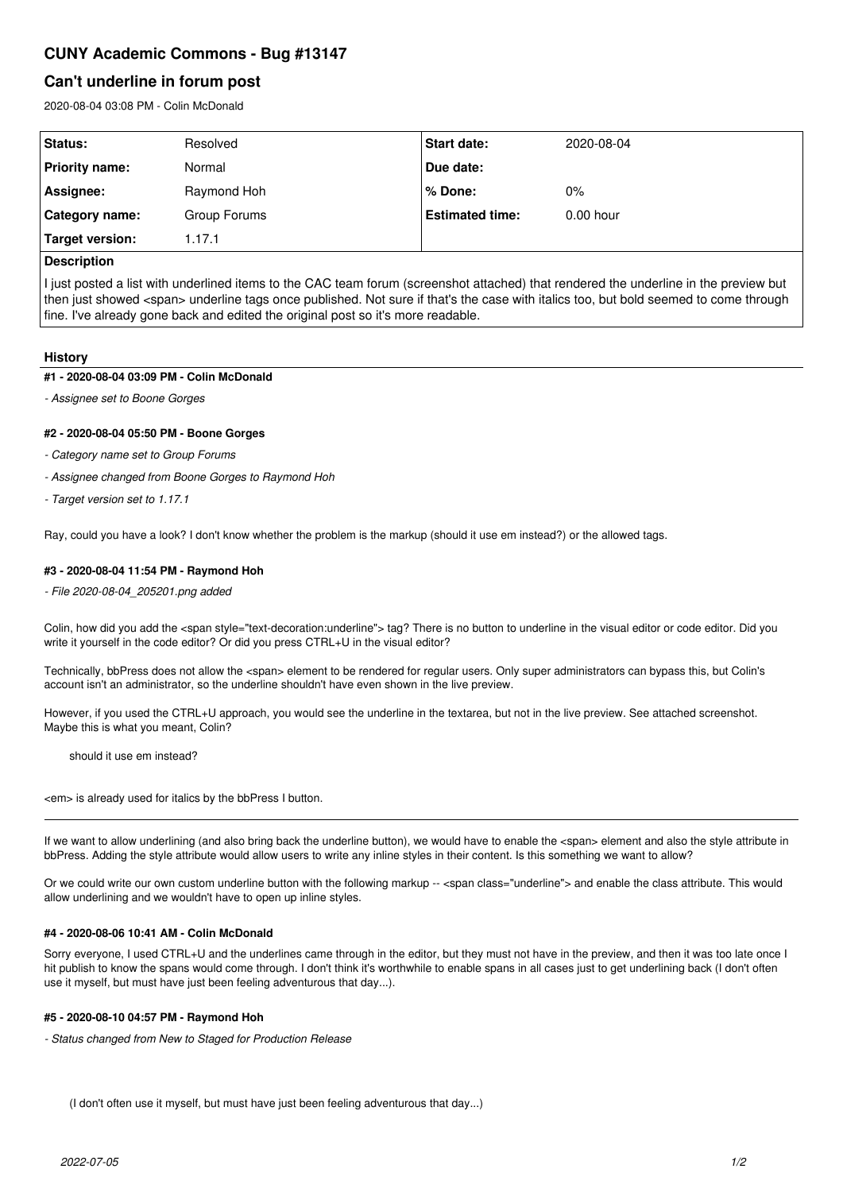# **CUNY Academic Commons - Bug #13147**

## **Can't underline in forum post**

2020-08-04 03:08 PM - Colin McDonald

| Status:          | Resolved     | <b>Start date:</b>     | 2020-08-04  |
|------------------|--------------|------------------------|-------------|
| Priority name:   | Normal       | Due date:              |             |
| Assignee:        | Raymond Hoh  | % Done:                | $0\%$       |
| ∣ Category name: | Group Forums | <b>Estimated time:</b> | $0.00$ hour |
| Target version:  | 1.17.1       |                        |             |
|                  |              |                        |             |

### **Description**

I just posted a list with underlined items to the CAC team forum (screenshot attached) that rendered the underline in the preview but then just showed <span> underline tags once published. Not sure if that's the case with italics too, but bold seemed to come through fine. I've already gone back and edited the original post so it's more readable.

#### **History**

#### **#1 - 2020-08-04 03:09 PM - Colin McDonald**

*- Assignee set to Boone Gorges*

#### **#2 - 2020-08-04 05:50 PM - Boone Gorges**

- *Category name set to Group Forums*
- *Assignee changed from Boone Gorges to Raymond Hoh*
- *Target version set to 1.17.1*

Ray, could you have a look? I don't know whether the problem is the markup (should it use em instead?) or the allowed tags.

#### **#3 - 2020-08-04 11:54 PM - Raymond Hoh**

*- File 2020-08-04\_205201.png added*

Colin, how did you add the <span style="text-decoration:underline"> tag? There is no button to underline in the visual editor or code editor. Did you write it yourself in the code editor? Or did you press CTRL+U in the visual editor?

Technically, bbPress does not allow the <span> element to be rendered for regular users. Only super administrators can bypass this, but Colin's account isn't an administrator, so the underline shouldn't have even shown in the live preview.

However, if you used the CTRL+U approach, you would see the underline in the textarea, but not in the live preview. See attached screenshot. Maybe this is what you meant, Colin?

should it use em instead?

<em> is already used for italics by the bbPress I button.

If we want to allow underlining (and also bring back the underline button), we would have to enable the <span> element and also the style attribute in bbPress. Adding the style attribute would allow users to write any inline styles in their content. Is this something we want to allow?

Or we could write our own custom underline button with the following markup -- <span class="underline"> and enable the class attribute. This would allow underlining and we wouldn't have to open up inline styles.

#### **#4 - 2020-08-06 10:41 AM - Colin McDonald**

Sorry everyone, I used CTRL+U and the underlines came through in the editor, but they must not have in the preview, and then it was too late once I hit publish to know the spans would come through. I don't think it's worthwhile to enable spans in all cases just to get underlining back (I don't often use it myself, but must have just been feeling adventurous that day...).

#### **#5 - 2020-08-10 04:57 PM - Raymond Hoh**

*- Status changed from New to Staged for Production Release*

(I don't often use it myself, but must have just been feeling adventurous that day...)